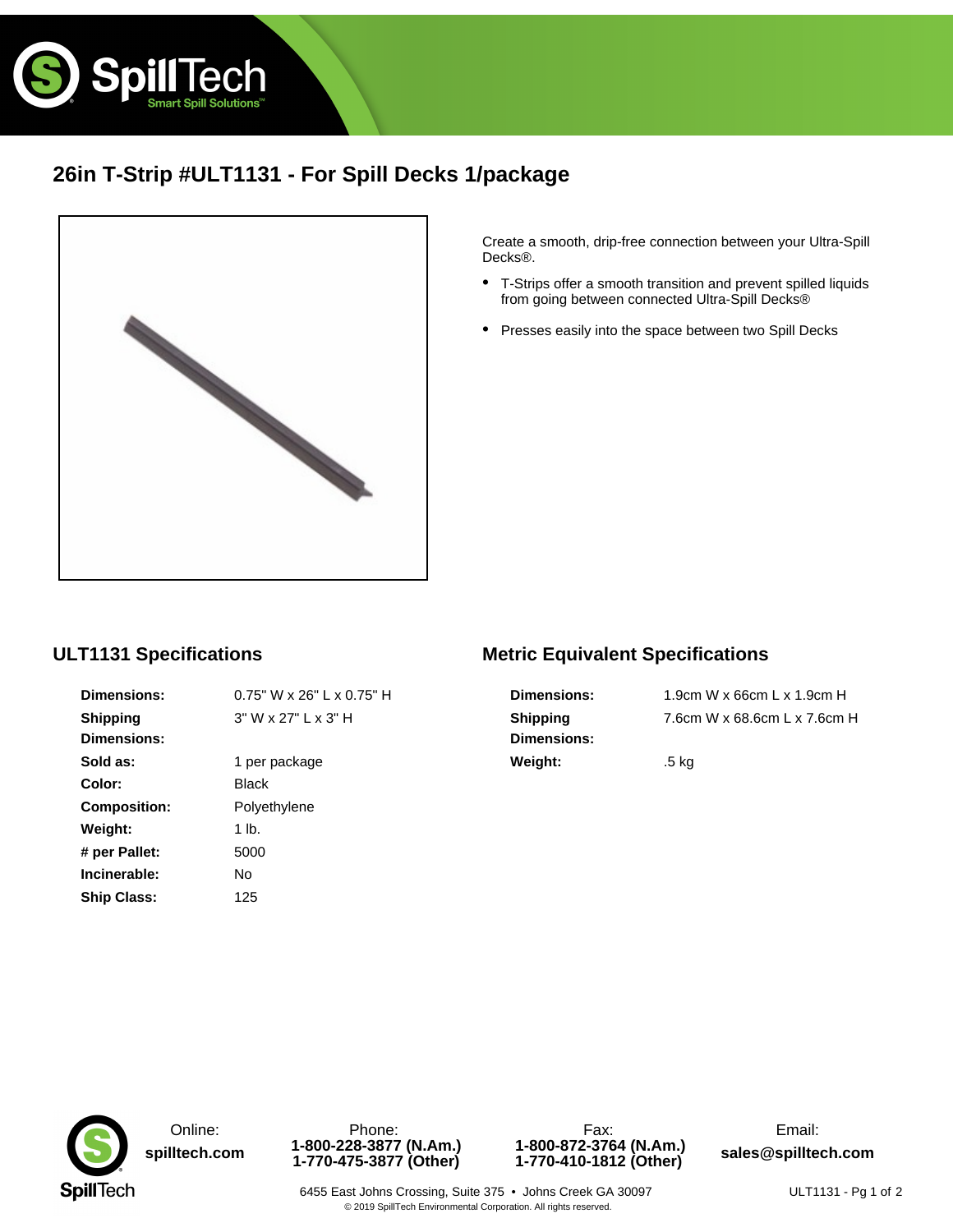

# **26in T-Strip #ULT1131 - For Spill Decks 1/package**



Create a smooth, drip-free connection between your Ultra-Spill Decks®.

- T-Strips offer a smooth transition and prevent spilled liquids from going between connected Ultra-Spill Decks® •
- Presses easily into the space between two Spill Decks

### **ULT1131 Specifications**

| <b>Dimensions:</b>  | 0.75" W x 26" |
|---------------------|---------------|
| Shipping            | 3"Wx27"Lx     |
| <b>Dimensions:</b>  |               |
| Sold as:            | 1 per package |
| Color:              | Black         |
| <b>Composition:</b> | Polyethylene  |
| Weight:             | 1 lb.         |
| # per Pallet:       | 5000          |
| Incinerable:        | N٥            |
| Ship Class:         | 125           |
|                     |               |

**6"** L x 0.75" H  $L \times 3"$  H

## **Metric Equivalent Specifications**

**Dimensions:** 1.9cm W x 66cm L x 1.9cm H **Shipping Dimensions: Weight:** .5 kg

7.6cm W x 68.6cm L x 7.6cm H